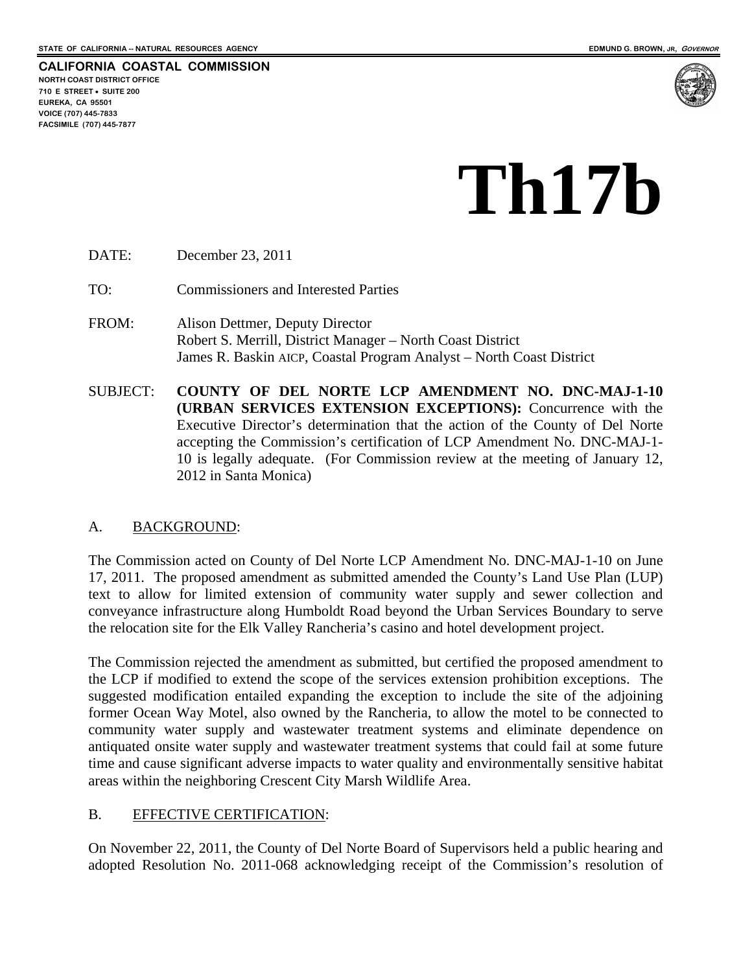**CALIFORNIA COASTAL COMMISSION NORTH COAST DISTRICT OFFICE 710 E STREET SUITE 200 EUREKA, CA 95501 VOICE (707) 445-7833 FACSIMILE (707) 445-7877** 



# **Th17b**

DATE: December 23, 2011

TO: Commissioners and Interested Parties

- FROM: Alison Dettmer, Deputy Director Robert S. Merrill, District Manager – North Coast District James R. Baskin AICP, Coastal Program Analyst – North Coast District
- SUBJECT: **COUNTY OF DEL NORTE LCP AMENDMENT NO. DNC-MAJ-1-10 (URBAN SERVICES EXTENSION EXCEPTIONS):** Concurrence with the Executive Director's determination that the action of the County of Del Norte accepting the Commission's certification of LCP Amendment No. DNC-MAJ-1- 10 is legally adequate. (For Commission review at the meeting of January 12, 2012 in Santa Monica)

## A. BACKGROUND:

The Commission acted on County of Del Norte LCP Amendment No. DNC-MAJ-1-10 on June 17, 2011. The proposed amendment as submitted amended the County's Land Use Plan (LUP) text to allow for limited extension of community water supply and sewer collection and conveyance infrastructure along Humboldt Road beyond the Urban Services Boundary to serve the relocation site for the Elk Valley Rancheria's casino and hotel development project.

The Commission rejected the amendment as submitted, but certified the proposed amendment to the LCP if modified to extend the scope of the services extension prohibition exceptions. The suggested modification entailed expanding the exception to include the site of the adjoining former Ocean Way Motel, also owned by the Rancheria, to allow the motel to be connected to community water supply and wastewater treatment systems and eliminate dependence on antiquated onsite water supply and wastewater treatment systems that could fail at some future time and cause significant adverse impacts to water quality and environmentally sensitive habitat areas within the neighboring Crescent City Marsh Wildlife Area.

## B. EFFECTIVE CERTIFICATION:

On November 22, 2011, the County of Del Norte Board of Supervisors held a public hearing and adopted Resolution No. 2011-068 acknowledging receipt of the Commission's resolution of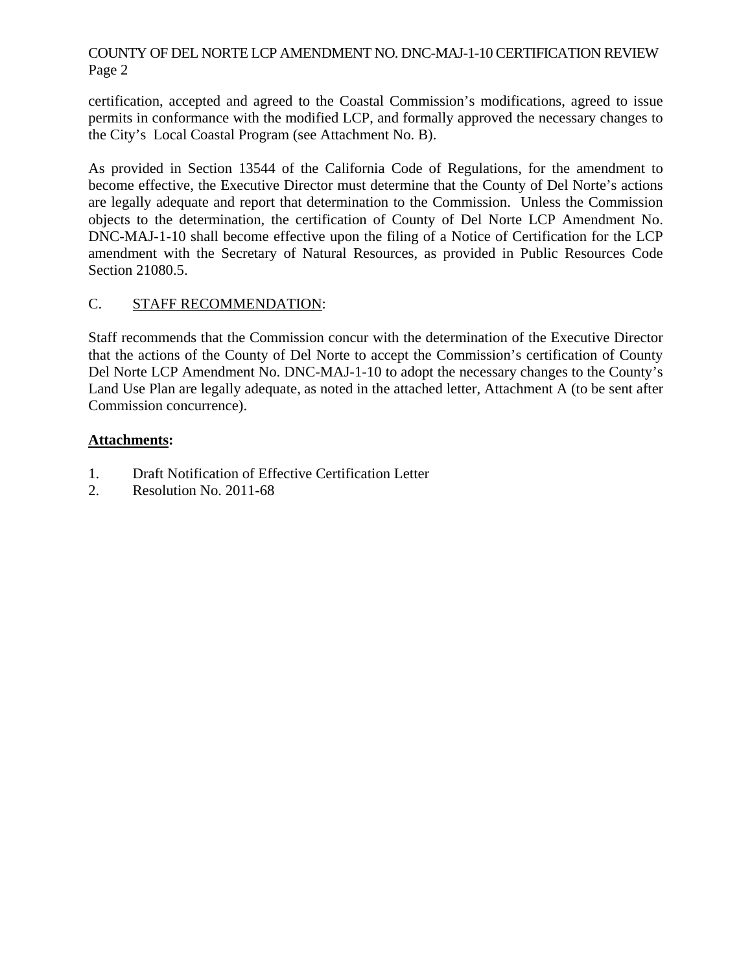## COUNTY OF DEL NORTE LCP AMENDMENT NO. DNC-MAJ-1-10 CERTIFICATION REVIEW Page 2

certification, accepted and agreed to the Coastal Commission's modifications, agreed to issue permits in conformance with the modified LCP, and formally approved the necessary changes to the City's Local Coastal Program (see Attachment No. B).

As provided in Section 13544 of the California Code of Regulations, for the amendment to become effective, the Executive Director must determine that the County of Del Norte's actions are legally adequate and report that determination to the Commission. Unless the Commission objects to the determination, the certification of County of Del Norte LCP Amendment No. DNC-MAJ-1-10 shall become effective upon the filing of a Notice of Certification for the LCP amendment with the Secretary of Natural Resources, as provided in Public Resources Code Section 21080.5.

## C. STAFF RECOMMENDATION:

Staff recommends that the Commission concur with the determination of the Executive Director that the actions of the County of Del Norte to accept the Commission's certification of County Del Norte LCP Amendment No. DNC-MAJ-1-10 to adopt the necessary changes to the County's Land Use Plan are legally adequate, as noted in the attached letter, Attachment A (to be sent after Commission concurrence).

## **Attachments:**

- 1. Draft Notification of Effective Certification Letter
- 2. Resolution No. 2011-68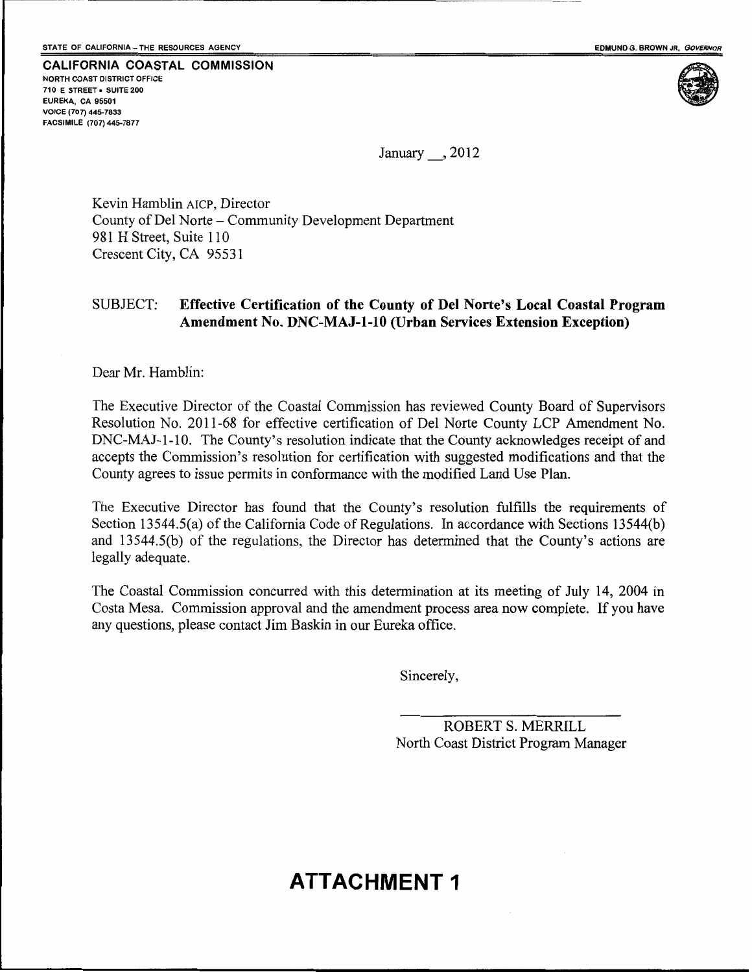

January, 2012

Kevin Hamblin AICP, Director County of Del Norte – Community Development Department 981 H Street, Suite 110 Crescent City, CA 95531

#### SUBJECT: Effective Certification of the County of Del Norte's Local Coastal Program Amendment No. DNC-MAJ-1-10 (Urban Services Extension Exception)

Dear Mr. Hamblin:

The Executive Director of the Coastal Commission has reviewed County Board of Supervisors Resolution No. 2011-68 for effective certification of Del Norte County LCP Amendment No. DNC-MAJ-1-10. The County's resolution indicate that the County acknowledges receipt of and accepts the Commission's resolution for certification with suggested modifications and that the County agrees to issue permits in conformance with the modified Land Use Plan.

The Executive Director has found that the County's resolution fulfills the requirements of Section 13544.5(a) of the California Code of Regulations. In accordance with Sections 13544(b) and 13544.5(b) of the regulations, the Director has determined that the County's actions are legally adequate.

The Coastal Commission concurred with this determination at its meeting of July 14, 2004 in Costa Mesa. Commission approval and the amendment process area now complete. If you have any questions, please contact Jim Baskin in our Eureka office.

Sincerely,

ROBERT S. MERRILL North Coast District Program Manager

## **ATTACHMENT 1**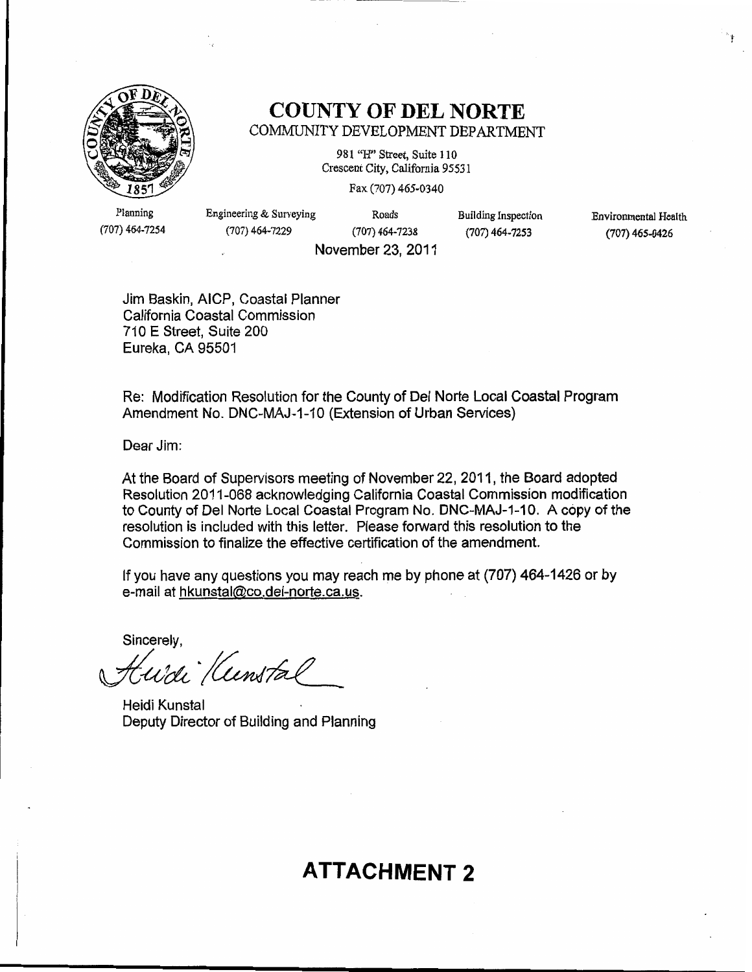

## **COUNTY OF DEL NORTE** COMMUNITY DEVELOPMENT DEPARTMENT

981 "H" Street, Suite 110 Crescent City, California 95531

Fax (707) 465-0340

Planning (707) 464-7254 Engineering & Surveying (707) 464-7229

Roads  $(707)$  464-7238 November 23, 2011 **Building Inspection**  $(707)$  464-7253

Environmental Health (707) 465-0426

Jim Baskin, AICP, Coastal Planner California Coastal Commission 710 E Street, Suite 200 Eureka, CA 95501

Re: Modification Resolution for the County of Del Norte Local Coastal Program Amendment No. DNC-MAJ-1-10 (Extension of Urban Services)

Dear Jim:

At the Board of Supervisors meeting of November 22, 2011, the Board adopted Resolution 2011-068 acknowledging California Coastal Commission modification to County of Del Norte Local Coastal Program No. DNC-MAJ-1-10. A copy of the resolution is included with this letter. Please forward this resolution to the Commission to finalize the effective certification of the amendment.

If you have any questions you may reach me by phone at (707) 464-1426 or by e-mail at hkunstal@co.del-norte.ca.us.

Sincerely,

wdi Kunstal

Heidi Kunstal Deputy Director of Building and Planning

## **ATTACHMENT 2**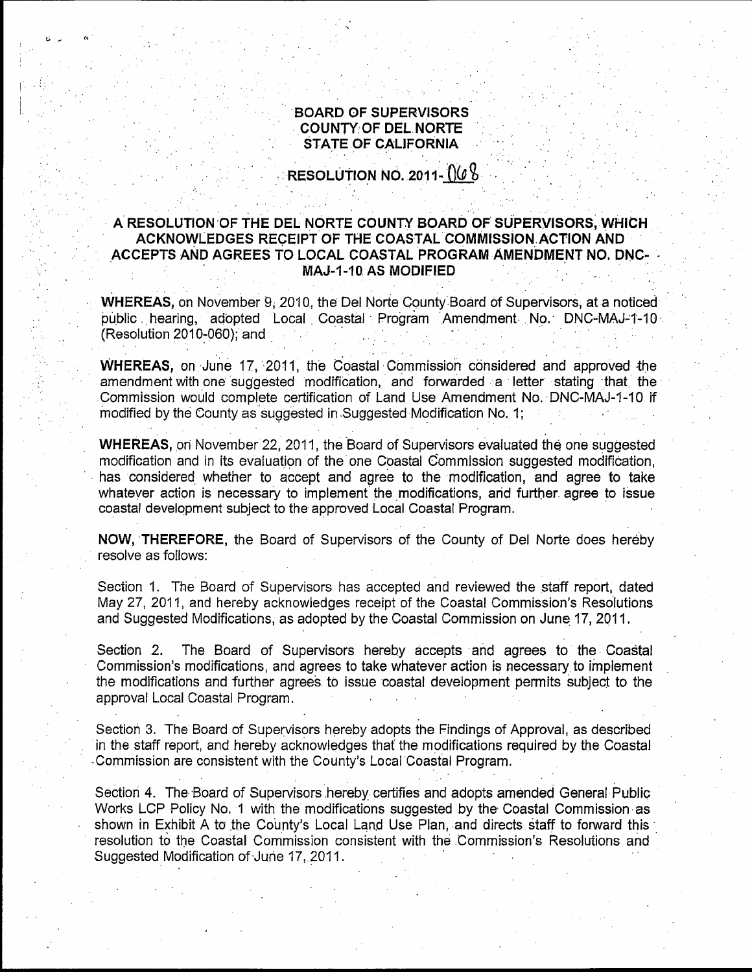#### **BOARD OF SUPERVISORS COUNTY OF DEL NORTE STATE OF CALIFORNIA**

RESOLUTION NO. 2011- $0/6$ 

## A RESOLUTION OF THE DEL NORTE COUNTY BOARD OF SUPERVISORS, WHICH ACKNOWLEDGES RECEIPT OF THE COASTAL COMMISSION ACTION AND ACCEPTS AND AGREES TO LOCAL COASTAL PROGRAM AMENDMENT NO. DNC-**MAJ-1-10 AS MODIFIED**

WHEREAS, on November 9, 2010, the Del Norte County Board of Supervisors, at a noticed public hearing, adopted Local Coastal Program Amendment No. DNC-MAJ-1-10 (Resolution 2010-060); and

WHEREAS, on June 17, 2011, the Coastal Commission considered and approved the amendment with one suggested modification, and forwarded a letter stating that the Commission would complete certification of Land Use Amendment No. DNC-MAJ-1-10 if modified by the County as suggested in Suggested Modification No. 1;

WHEREAS, on November 22, 2011, the Board of Supervisors evaluated the one suggested modification and in its evaluation of the one Coastal Commission suggested modification. has considered whether to accept and agree to the modification, and agree to take whatever action is necessary to implement the modifications, and further agree to issue coastal development subject to the approved Local Coastal Program.

NOW, THEREFORE, the Board of Supervisors of the County of Del Norte does hereby resolve as follows:

Section 1. The Board of Supervisors has accepted and reviewed the staff report, dated May 27, 2011, and hereby acknowledges receipt of the Coastal Commission's Resolutions and Suggested Modifications, as adopted by the Coastal Commission on June 17, 2011.

The Board of Supervisors hereby accepts and agrees to the Coastal Section 2. Commission's modifications, and agrees to take whatever action is necessary to implement the modifications and further agrees to issue coastal development permits subject to the approval Local Coastal Program.

Section 3. The Board of Supervisors hereby adopts the Findings of Approval, as described in the staff report, and hereby acknowledges that the modifications required by the Coastal Commission are consistent with the County's Local Coastal Program.

Section 4. The Board of Supervisors hereby certifies and adopts amended General Public Works LCP Policy No. 1 with the modifications suggested by the Coastal Commission as shown in Exhibit A to the County's Local Land Use Plan, and directs staff to forward this resolution to the Coastal Commission consistent with the Commission's Resolutions and Suggested Modification of June 17, 2011.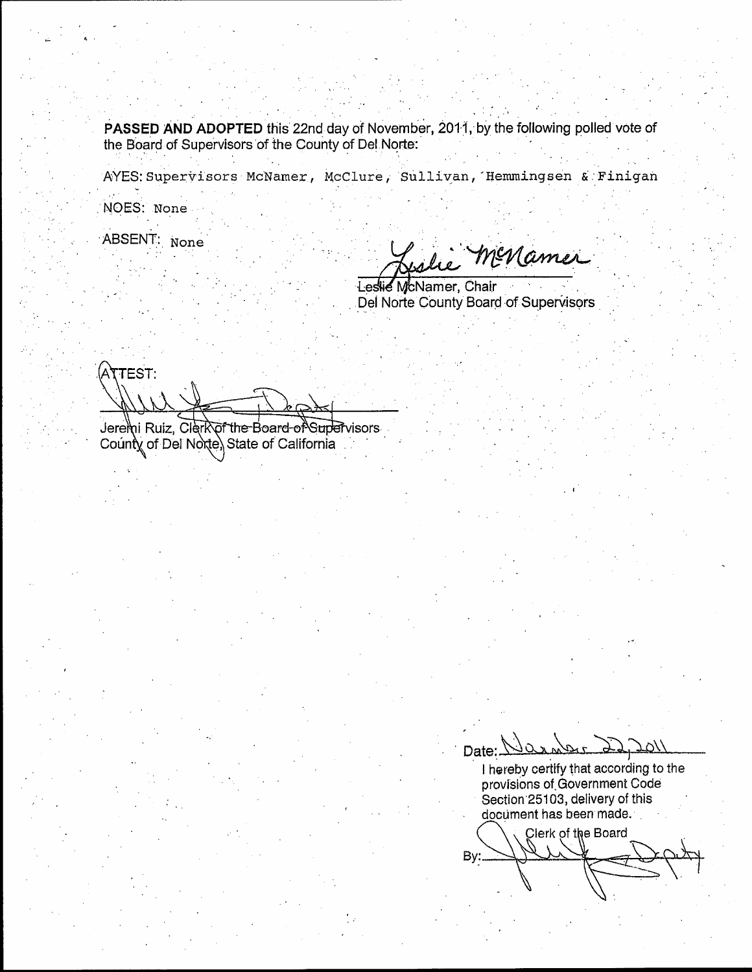**PASSED AND ADOPTED** this 22nd day of November, 2011, by the following polled vote of the Board of Supervisors of the County of Del Norte:

AYES: Supervisors McNamer, McClure, Sullivan, Hemmingsen & Finigan

NOES: None

ABSENT: None

menamer

Leslie McNamer, Chair Del Norte County Board of Supervisors

ATTEST:

Jeremi Ruiz, Clerk of the Board-of Supervisors County of Del Norte, State of California

Date: $\frac{1}{2}$ 

I hereby certify that according to the provisions of Government Code Section 25103, delivery of this document has been made.

Clerk of the Board By: